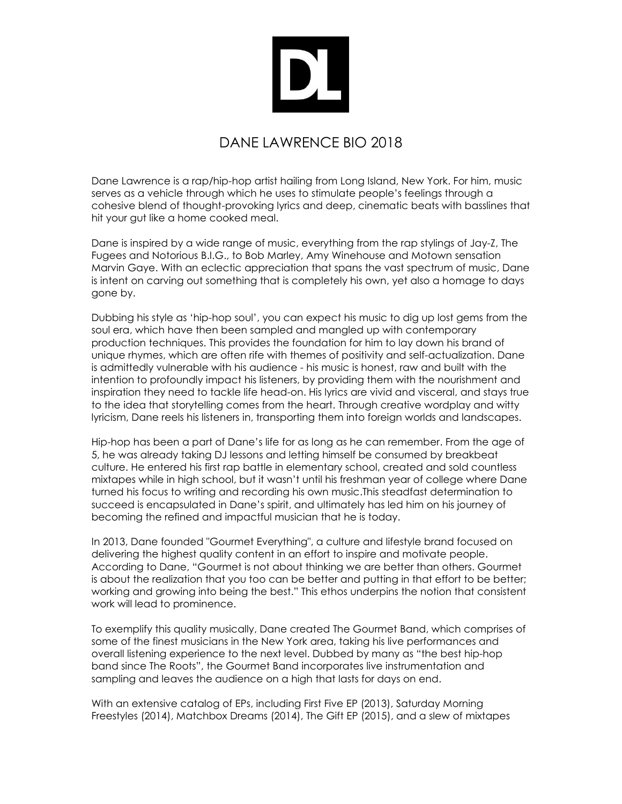## DANE LAWRENCE BIO 2018

Dane Lawrence is a rap/hip-hop artist hailing from Long Island, New York. For him, music serves as a vehicle through which he uses to stimulate people's feelings through a cohesive blend of thought-provoking lyrics and deep, cinematic beats with basslines that hit your gut like a home cooked meal.

Dane is inspired by a wide range of music, everything from the rap stylings of Jay-Z, The Fugees and Notorious B.I.G., to Bob Marley, Amy Winehouse and Motown sensation Marvin Gaye. With an eclectic appreciation that spans the vast spectrum of music, Dane is intent on carving out something that is completely his own, yet also a homage to days gone by.

Dubbing his style as 'hip-hop soul', you can expect his music to dig up lost gems from the soul era, which have then been sampled and mangled up with contemporary production techniques. This provides the foundation for him to lay down his brand of unique rhymes, which are often rife with themes of positivity and self-actualization. Dane is admittedly vulnerable with his audience - his music is honest, raw and built with the intention to profoundly impact his listeners, by providing them with the nourishment and inspiration they need to tackle life head-on. His lyrics are vivid and visceral, and stays true to the idea that storytelling comes from the heart. Through creative wordplay and witty lyricism, Dane reels his listeners in, transporting them into foreign worlds and landscapes.

Hip-hop has been a part of Dane's life for as long as he can remember. From the age of 5, he was already taking DJ lessons and letting himself be consumed by breakbeat culture. He entered his first rap battle in elementary school, created and sold countless mixtapes while in high school, but it wasn't until his freshman year of college where Dane turned his focus to writing and recording his own music.This steadfast determination to succeed is encapsulated in Dane's spirit, and ultimately has led him on his journey of becoming the refined and impactful musician that he is today.

In 2013, Dane founded "Gourmet Everything", a culture and lifestyle brand focused on delivering the highest quality content in an effort to inspire and motivate people. According to Dane, "Gourmet is not about thinking we are better than others. Gourmet is about the realization that you too can be better and putting in that effort to be better; working and growing into being the best." This ethos underpins the notion that consistent work will lead to prominence.

To exemplify this quality musically, Dane created The Gourmet Band, which comprises of some of the finest musicians in the New York area, taking his live performances and overall listening experience to the next level. Dubbed by many as "the best hip-hop band since The Roots", the Gourmet Band incorporates live instrumentation and sampling and leaves the audience on a high that lasts for days on end.

With an extensive catalog of EPs, including First Five EP (2013), Saturday Morning Freestyles (2014), Matchbox Dreams (2014), The Gift EP (2015), and a slew of mixtapes